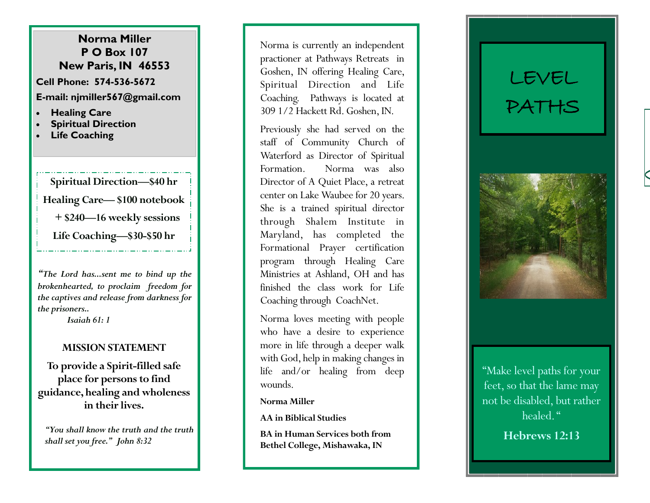## **Norma Miller P O Box 107 New Paris, IN 46553**

**Cell Phone: 574 -536 -5672 E -mail: njmiller567@gmail.com**

- **Healing Care**
- **Spiritual Direction**
- **Life Coaching**

**Spiritual Direction —\$40 hr Healing Care— \$100 notebook + \$240—16 weekly sessions Life Coaching —\$30 -\$50 hr** 

*"The Lord has...sent me to bind up the brokenhearted, to proclaim freedom for the captives and release from darkness for the prisoners..* 

*Isaiah 61: 1*

## **MISSION STATEMENT**

**To provide a Spirit -filled safe place for persons to find guidance, healing and wholeness in their lives.**

*"You shall know the truth and the truth shall set you free." John 8:32*

Norma is currently an independent practioner at Pathways Retreats in Goshen, IN offering Healing Care, Spiritual Direction and Life Coaching. Pathways is located at 309 1/2 Hackett Rd. Goshen, IN.

Previously she had served on the staff of Community Church of Waterford as Director of Spiritual Formation. Norma was also Director of A Quiet Place, a retreat center on Lake Waubee for 20 years. She is a trained spiritual director through Shalem Institute in Maryland, has completed the Formational Prayer certification program through Healing Care Ministries at Ashland, OH and has finished the class work for Life Coaching through CoachNet.

Norma loves meeting with people who have a desire to experience more in life through a deeper walk with God, help in making changes in life and/or healing from deep wounds.

### **Norma Miller**

**AA in Biblical Studies**

**BA in Human Services both from Bethel College, Mishawaka, IN**

# LEVEL PATHS



"Make level paths for your feet, so that the lame may not be disabled, but rather healed."

**Hebrews 12:13**